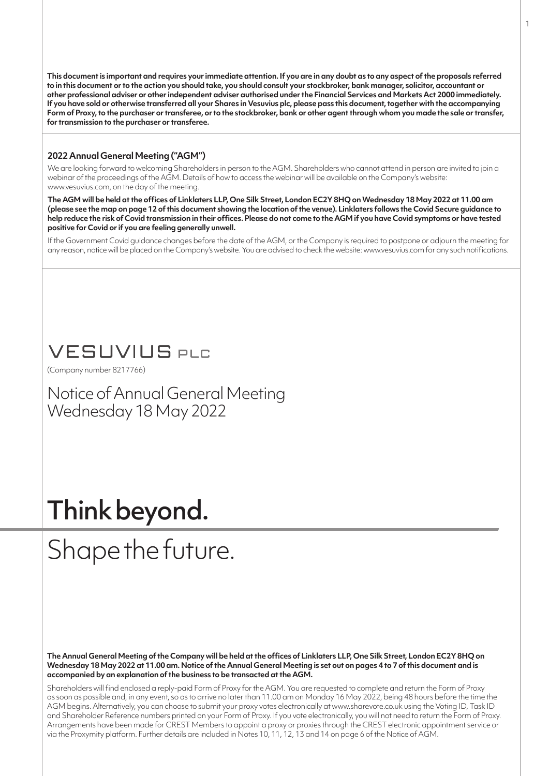**This document is important and requires your immediate attention. If you are in any doubt as to any aspect of the proposals referred to in this document or to the action you should take, you should consult your stockbroker, bank manager, solicitor, accountant or other professional adviser or other independent adviser authorised under the Financial Services and Markets Act 2000 immediately. If you have sold or otherwise transferred all your Shares in Vesuvius plc, please pass this document, together with the accompanying Form of Proxy, to the purchaser or transferee, or to the stockbroker, bank or other agent through whom you made the sale or transfer, for transmission to the purchaser or transferee.**

# **2022 Annual General Meeting ("AGM")**

We are looking forward to welcoming Shareholders in person to the AGM. Shareholders who cannot attend in person are invited to join a webinar of the proceedings of the AGM. Details of how to access the webinar will be available on the Company's website: www.vesuvius.com, on the day of the meeting.

**The AGM will be held at the offices of Linklaters LLP, One Silk Street, London EC2Y 8HQ on Wednesday 18 May 2022 at 11.00 am (please see the map on page 12 of this document showing the location of the venue). Linklaters follows the Covid Secure guidance to help reduce the risk of Covid transmission in their offices. Please do not come to the AGM if you have Covid symptoms or have tested positive for Covid or if you are feeling generally unwell.**

If the Government Covid guidance changes before the date of the AGM, or the Company is required to postpone or adjourn the meeting for any reason, notice will be placed on the Company's website. You are advised to check the website: www.vesuvius.com for any such notifications.

# **VESUVIUS PLC**

(Company number 8217766)

Notice of Annual General Meeting Wednesday 18 May 2022

# Think beyond.

# Shape the future.

**The Annual General Meeting of the Company will be held at the offices of Linklaters LLP, One Silk Street, London EC2Y 8HQ on Wednesday 18 May 2022 at 11.00 am. Notice of the Annual General Meeting is set out on pages 4 to 7 of this document and is accompanied by an explanation of the business to be transacted at the AGM.**

Shareholders will find enclosed a reply-paid Form of Proxy for the AGM. You are requested to complete and return the Form of Proxy as soon as possible and, in any event, so as to arrive no later than 11.00 am on Monday 16 May 2022, being 48 hours before the time the AGM begins. Alternatively, you can choose to submit your proxy votes electronically at www.sharevote.co.uk using the Voting ID, Task ID and Shareholder Reference numbers printed on your Form of Proxy. If you vote electronically, you will not need to return the Form of Proxy. Arrangements have been made for CREST Members to appoint a proxy or proxies through the CREST electronic appointment service or via the Proxymity platform. Further details are included in Notes 10, 11, 12, 13 and 14 on page 6 of the Notice of AGM.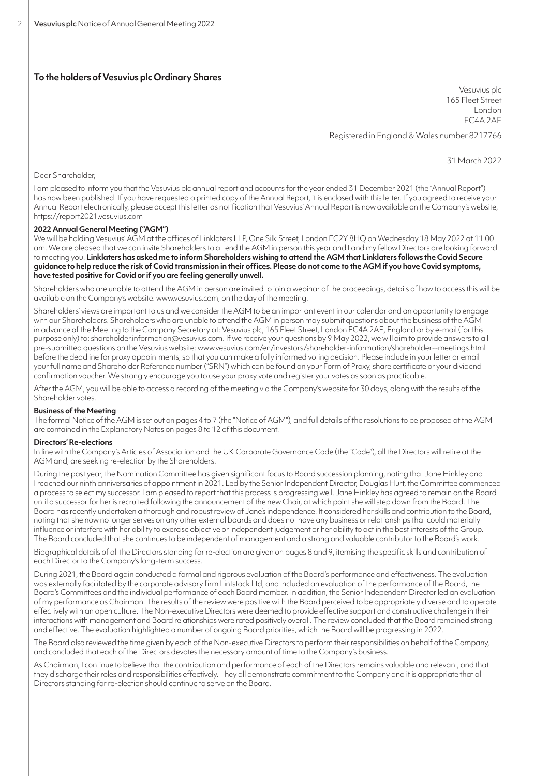# **To the holders of Vesuvius plc Ordinary Shares**

Vesuvius plc 165 Fleet Street London EC4A 2AE

Registered in England & Wales number 8217766

31 March 2022

Dear Shareholder,

I am pleased to inform you that the Vesuvius plc annual report and accounts for the year ended 31 December 2021 (the "Annual Report") has now been published. If you have requested a printed copy of the Annual Report, it is enclosed with this letter. If you agreed to receive your Annual Report electronically, please accept this letter as notification that Vesuvius' Annual Report is now available on the Company's website, https://report2021.vesuvius.com

# **2022 Annual General Meeting ("AGM")**

We will be holding Vesuvius' AGM at the offices of Linklaters LLP, One Silk Street, London EC2Y 8HQ on Wednesday 18 May 2022 at 11.00 am. We are pleased that we can invite Shareholders to attend the AGM in person this year and I and my fellow Directors are looking forward to meeting you. **Linklaters has asked me to inform Shareholders wishing to attend the AGM that Linklaters follows the Covid Secure guidance to help reduce the risk of Covid transmission in their offices. Please do not come to the AGM if you have Covid symptoms, have tested positive for Covid or if you are feeling generally unwell.**

Shareholders who are unable to attend the AGM in person are invited to join a webinar of the proceedings, details of how to access this will be available on the Company's website: www.vesuvius.com, on the day of the meeting.

Shareholders' views are important to us and we consider the AGM to be an important event in our calendar and an opportunity to engage with our Shareholders. Shareholders who are unable to attend the AGM in person may submit questions about the business of the AGM in advance of the Meeting to the Company Secretary at: Vesuvius plc, 165 Fleet Street, London EC4A 2AE, England or by e-mail (for this purpose only) to: shareholder.information@vesuvius.com. If we receive your questions by 9May 2022, we will aim to provide answers to all pre-submitted questions on the Vesuvius website: www.vesuvius.com/en/investors/shareholder-information/shareholder--meetings.html before the deadline for proxy appointments, so that you can make a fully informed voting decision. Please include in your letter or email your full name and Shareholder Reference number ("SRN") which can be found on your Form of Proxy, share certificate or your dividend confirmation voucher. We strongly encourage you to use your proxy vote and register your votes as soon as practicable.

After the AGM, you will be able to access a recording of the meeting via the Company's website for 30 days, along with the results of the Shareholder votes.

# **Business of the Meeting**

The formal Notice of the AGM is set out on pages 4 to 7 (the "Notice of AGM"), and full details of the resolutions to be proposed at the AGM are contained in the Explanatory Notes on pages 8 to 12 of this document.

# **Directors' Re-elections**

In line with the Company's Articles of Association and the UK Corporate Governance Code (the "Code"), all the Directors will retire at the AGM and, are seeking re-election by the Shareholders.

During the past year, the Nomination Committee has given significant focus to Board succession planning, noting that Jane Hinkley and I reached our ninth anniversaries of appointment in 2021. Led by the Senior Independent Director, Douglas Hurt, the Committee commenced a process to select my successor. I am pleased to report that this process is progressing well. Jane Hinkley has agreed to remain on the Board until a successor for her is recruited following the announcement of the new Chair, at which point she will step down from the Board. The Board has recently undertaken a thorough and robust review of Jane's independence. It considered her skills and contribution to the Board, noting that she now no longer serves on any other external boards and does not have any business or relationships that could materially influence or interfere with her ability to exercise objective or independent judgement or her ability to act in the best interests of the Group. The Board concluded that she continues to be independent of management and a strong and valuable contributor to the Board's work.

Biographical details of all the Directors standing for re-election are given on pages 8 and 9, itemising the specific skills and contribution of each Director to the Company's long-term success.

During 2021, the Board again conducted a formal and rigorous evaluation of the Board's performance and effectiveness. The evaluation was externally facilitated by the corporate advisory firm Lintstock Ltd, and included an evaluation of the performance of the Board, the Board's Committees and the individual performance of each Board member. In addition, the Senior Independent Director led an evaluation of my performance as Chairman. The results of the review were positive with the Board perceived to be appropriately diverse and to operate effectively with an open culture. The Non-executive Directors were deemed to provide effective support and constructive challenge in their interactions with management and Board relationships were rated positively overall. The review concluded that the Board remained strong and effective. The evaluation highlighted a number of ongoing Board priorities, which the Board will be progressing in 2022.

The Board also reviewed the time given by each of the Non-executive Directors to perform their responsibilities on behalf of the Company, and concluded that each of the Directors devotes the necessary amount of time to the Company's business.

As Chairman, I continue to believe that the contribution and performance of each of the Directors remains valuable and relevant, and that they discharge their roles and responsibilities effectively. They all demonstrate commitment to the Company and it is appropriate that all Directors standing for re-election should continue to serve on the Board.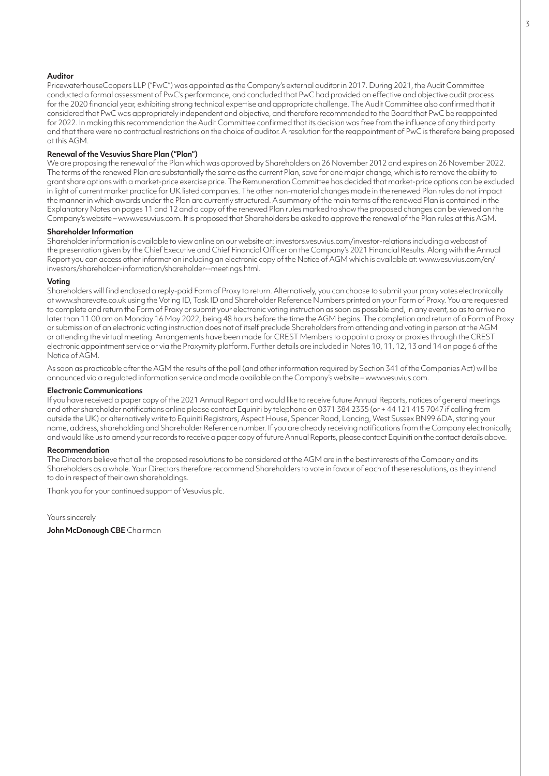# **Auditor**

PricewaterhouseCoopers LLP ("PwC") was appointed as the Company's external auditor in 2017. During 2021, the Audit Committee conducted a formal assessment of PwC's performance, and concluded that PwC had provided an effective and objective audit process for the 2020 financial year, exhibiting strong technical expertise and appropriate challenge. The Audit Committee also confirmed that it considered that PwC was appropriately independent and objective, and therefore recommended to the Board that PwC be reappointed for 2022. In making this recommendation the Audit Committee confirmed that its decision was free from the influence of any third party and that there were no contractual restrictions on the choice of auditor. A resolution for the reappointment of PwC is therefore being proposed at this AGM.

# **Renewal of the Vesuvius Share Plan ("Plan")**

We are proposing the renewal of the Plan which was approved by Shareholders on 26 November 2012 and expires on 26 November 2022. The terms of the renewed Plan are substantially the same as the current Plan, save for one major change, which is to remove the ability to grant share options with a market-price exercise price. The Remuneration Committee has decided that market-price options can be excluded in light of current market practice for UK listed companies. The other non-material changes made in the renewed Plan rules do not impact the manner in which awards under the Plan are currently structured. A summary of the main terms of the renewed Plan is contained in the Explanatory Notes on pages 11 and 12 and a copy ofthe renewed Plan rules marked to show the proposed changes can be viewed on the Company's website – www.vesuvius.com. It is proposed that Shareholders be asked to approve the renewal of the Plan rules at this AGM.

# **Shareholder Information**

Shareholder information is available to view online on our website at: investors.vesuvius.com/investor-relations including a webcast of the presentation given by the Chief Executive and Chief Financial Officer on the Company's 2021 Financial Results. Along with the Annual Report you can access other information including an electronic copy of the Notice of AGM which is available at: www.vesuvius.com/en/ investors/shareholder-information/shareholder--meetings.html.

#### **Voting**

Shareholders will find enclosed a reply-paid Form of Proxy to return. Alternatively, you can choose to submit your proxy votes electronically at www.sharevote.co.uk using the Voting ID, Task ID and Shareholder Reference Numbers printed on your Form of Proxy. You are requested to complete and return the Form of Proxy or submit your electronic voting instruction as soon as possible and, in any event, so as to arrive no later than 11.00 am on Monday 16 May 2022, being 48 hours before the time the AGM begins. The completion and return of a Form of Proxy or submission of an electronic voting instruction does not of itself preclude Shareholders from attending and voting in person at the AGM or attending the virtual meeting. Arrangements have been made for CREST Members to appoint a proxy or proxies through the CREST electronic appointment service or via the Proxymity platform. Further details are included in Notes 10, 11, 12, 13 and 14 on page 6 of the Notice of AGM.

As soon as practicable after the AGM the results of the poll (and other information required by Section 341 of the Companies Act) will be announced via a regulated information service and made available on the Company's website – www.vesuvius.com.

# **Electronic Communications**

If you have received a paper copy of the 2021 Annual Report and would like to receive future Annual Reports, notices of general meetings and other shareholder notifications online please contact Equiniti by telephone on 0371 384 2335 (or + 44 121 415 7047 if calling from outside the UK) or alternatively write to Equiniti Registrars, Aspect House, Spencer Road, Lancing, West Sussex BN99 6DA, stating your name, address, shareholding and Shareholder Reference number. If you are already receiving notifications from the Company electronically, and would like us to amend your records to receive a paper copy of future Annual Reports, please contact Equiniti on the contact details above.

#### **Recommendation**

The Directors believe that all the proposed resolutions to be considered at the AGM are in the best interests of the Company and its Shareholders as a whole. Your Directors therefore recommend Shareholders to vote in favour of each of these resolutions, as they intend to do in respect of their own shareholdings.

Thank you for your continued support of Vesuvius plc.

Yours sincerely

**John McDonough CBE** Chairman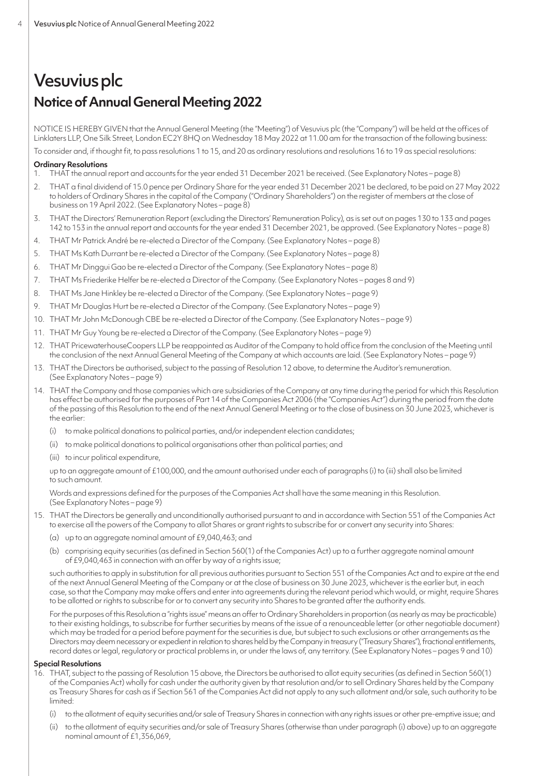# Vesuvius plc **Notice of Annual General Meeting 2022**

NOTICE IS HEREBY GIVEN that the Annual General Meeting (the "Meeting") of Vesuvius plc (the "Company") will be held at the offices of Linklaters LLP, One Silk Street, London EC2Y 8HQ on Wednesday 18 May 2022 at 11.00 am for the transaction of the following business:

To consider and, if thought fit, to pass resolutions 1 to 15, and 20 as ordinary resolutions and resolutions 16 to 19 as special resolutions:

# **Ordinary Resolutions**

- 1. THAT the annual report and accounts for the year ended 31 December 2021 be received. (See Explanatory Notes page 8)
- 2. THAT a final dividend of 15.0 pence per Ordinary Share for the year ended 31 December 2021 be declared, to be paid on 27 May 2022 to holders of Ordinary Shares in the capital of the Company ("Ordinary Shareholders") on the register of members at the close of business on 19 April 2022. (See Explanatory Notes – page 8)
- 3. THAT the Directors' Remuneration Report (excluding the Directors' Remuneration Policy), as is set out on pages 130 to 133 and pages 142 to 153 in the annual report and accounts for the year ended 31 December 2021, be approved. (See Explanatory Notes – page 8)
- 4. THAT Mr Patrick André be re-elected a Director of the Company. (See Explanatory Notes page 8)
- 5. THAT Ms Kath Durrant be re-elected a Director of the Company. (See Explanatory Notes page 8)
- 6. THAT Mr Dinggui Gao be re-elected a Director of the Company. (See Explanatory Notes page 8)
- 7. THAT Ms Friederike Helfer be re-elected a Director of the Company. (See Explanatory Notes pages 8 and 9)
- 8. THAT Ms Jane Hinkley be re-elected a Director of the Company. (See Explanatory Notes page 9)
- 9. THAT Mr Douglas Hurt be re-elected a Director of the Company. (See Explanatory Notes page 9)
- 10. THAT Mr John McDonough CBE be re-elected a Director of the Company. (See Explanatory Notes page 9)
- 11. THAT Mr Guy Young be re-elected a Director of the Company. (See Explanatory Notes page 9)
- 12. THAT PricewaterhouseCoopers LLP be reappointed as Auditor of the Company to hold office from the conclusion of the Meeting until the conclusion of the next Annual General Meeting of the Company at which accounts are laid. (See Explanatory Notes – page 9)
- 13. THAT the Directors be authorised, subject to the passing of Resolution 12 above, to determine the Auditor's remuneration. (See Explanatory Notes – page 9)
- 14. THAT the Company and those companies which are subsidiaries of the Company at any time during the period for which this Resolution has effect be authorised for the purposes of Part 14 of the Companies Act 2006 (the "Companies Act") during the period from the date of the passing of this Resolution to the end of the next Annual General Meeting or to the close of business on 30 June 2023, whichever is the earlier:
	- (i) to make political donations to political parties, and/or independent election candidates;
	- (ii) to make political donations to political organisations other than political parties; and
	- (iii) to incur political expenditure,

up to an aggregate amount of £100,000, and the amount authorised under each of paragraphs (i) to (iii) shall also be limited to such amount.

Words and expressions defined for the purposes of the Companies Act shall have the same meaning in this Resolution. (See Explanatory Notes – page 9)

- 15. THAT the Directors be generally and unconditionally authorised pursuant to and in accordance with Section 551 of the Companies Act to exercise all the powers of the Company to allot Shares or grant rights to subscribe for or convert any security into Shares:
	- (a) up to an aggregate nominal amount of £9,040,463; and
	- (b) comprising equity securities (as defined in Section 560(1) of the Companies Act) up to a further aggregate nominal amount of £9,040,463 in connection with an offer by way of a rights issue;

such authorities to apply in substitution for all previous authorities pursuant to Section 551 of the Companies Act and to expire at the end of the next Annual General Meeting of the Company or at the close of business on 30 June 2023, whichever is the earlier but, in each case, so that the Company may make offers and enter into agreements during the relevant period which would, or might, require Shares to be allotted or rights to subscribe for or to convert any security into Shares to be granted after the authority ends.

For the purposes of this Resolution a "rights issue" means an offer to Ordinary Shareholders in proportion (as nearly as may be practicable) to their existing holdings, to subscribe for further securities by means of the issue of a renounceable letter (or other negotiable document) which may be traded for a period before payment for the securities is due, but subject to such exclusions or other arrangements as the Directors may deem necessary or expedient in relation to shares held by the Company in treasury ("Treasury Shares"), fractional entitlements, record dates or legal, regulatory or practical problems in, or under the laws of, any territory. (See Explanatory Notes – pages 9 and 10)

# **Special Resolutions**

- 16. THAT, subject to the passing of Resolution 15 above, the Directors be authorised to allot equity securities (as defined in Section 560(1) ofthe Companies Act) wholly for cash under the authority given by that resolution and/or to sell Ordinary Shares held by the Company as Treasury Shares for cash as if Section 561 of the Companies Act did not apply to any such allotment and/or sale, such authority to be limited:
	- (i) to the allotment of equity securities and/or sale of Treasury Shares in connection with any rights issues or other pre-emptive issue; and
	- (ii) to the allotment of equity securities and/or sale of Treasury Shares (otherwise than under paragraph (i) above) up to an aggregate nominal amount of £1,356,069,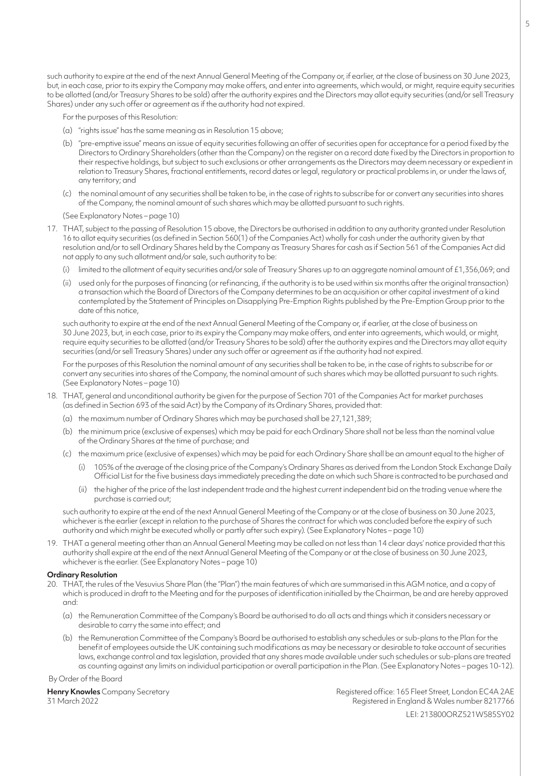such authority to expire at the end of the next Annual General Meeting of the Company or, if earlier, at the close of business on 30 June 2023, but, in each case, prior to its expiry the Company may make offers, and enter into agreements, which would, or might, require equity securities to be allotted (and/or Treasury Shares to be sold) after the authority expires and the Directors may allot equity securities (and/or sell Treasury Shares) under any such offer or agreement as if the authority had not expired.

For the purposes of this Resolution:

- (a) "rights issue" has the same meaning as in Resolution 15 above;
- (b) "pre-emptive issue" means an issue of equity securities following an offer of securities open for acceptance for a period fixed by the Directors to Ordinary Shareholders (other than the Company) on the register on a record date fixed by the Directors in proportion to their respective holdings, but subject to such exclusions or other arrangements as the Directors may deem necessary or expedient in relation to Treasury Shares, fractional entitlements, record dates or legal, regulatory or practical problems in, or under the laws of, any territory; and
- (c) the nominal amount of any securities shall be taken to be, in the case of rights to subscribe for or convert any securities into shares ofthe Company, the nominal amount of such shares which may be allotted pursuant to such rights.

(See Explanatory Notes – page 10)

- 17. THAT, subject to the passing of Resolution 15 above, the Directors be authorised in addition to any authority granted under Resolution 16 to allot equity securities (as defined in Section 560(1) of the Companies Act) wholly for cash under the authority given by that resolution and/or to sell Ordinary Shares held by the Company as Treasury Shares for cash as if Section 561 of the Companies Act did not apply to any such allotment and/or sale, such authority to be:
	- (i) limited to the allotment of equity securities and/or sale of Treasury Shares up to an aggregate nominal amount of £1,356,069; and
	- (ii) used only for the purposes of financing (or refinancing, if the authority is to be used within six months after the original transaction) a transaction which the Board of Directors of the Company determines to be an acquisition or other capital investment of a kind contemplated by the Statement of Principles on Disapplying Pre-Emption Rights published by the Pre-Emption Group prior to the date of this notice

such authority to expire at the end of the next Annual General Meeting of the Company or, if earlier, at the close of business on 30 June 2023, but, in each case, prior to its expiry the Company may make offers, and enter into agreements, which would, or might, require equity securities to be allotted (and/or Treasury Shares to be sold) after the authority expires and the Directors may allot equity securities (and/or sell Treasury Shares) under any such offer or agreement as if the authority had not expired.

For the purposes of this Resolution the nominal amount of any securities shall be taken to be, in the case of rights to subscribe for or convert any securities into shares of the Company, the nominal amount of such shares which may be allotted pursuant to such rights. (See Explanatory Notes – page 10)

- 18. THAT, general and unconditional authority be given for the purpose of Section 701 of the Companies Act for market purchases (as defined in Section 693 of the said Act) by the Company of its Ordinary Shares, provided that:
	- (a) the maximum number of Ordinary Shares which may be purchased shall be 27,121,389;
	- (b) the minimum price (exclusive of expenses) which may be paid for each Ordinary Share shall not be less than the nominal value of the Ordinary Shares at the time of purchase; and
	- (c) the maximum price (exclusive of expenses) which may be paid for each Ordinary Share shall be an amount equal to the higher of
		- (i) 105% of the average of the closing price of the Company's Ordinary Shares as derived from the London Stock Exchange Daily Official List for the five business days immediately preceding the date on which such Share is contracted to be purchased and
		- (ii) the higher of the price of the last independent trade and the highest current independent bid on the trading venue where the purchase is carried out;

such authority to expire at the end of the next Annual General Meeting of the Company or at the close of business on 30 June 2023, whichever is the earlier (except in relation to the purchase of Shares the contract for which was concluded before the expiry of such authority and which might be executed wholly or partly after such expiry). (See Explanatory Notes – page 10)

19. THAT a general meeting other than an Annual General Meeting may be called on not less than 14 clear days' notice provided that this authority shall expire at the end of the next Annual General Meeting of the Company or at the close of business on 30 June 2023, whichever is the earlier. (See Explanatory Notes – page 10)

#### **Ordinary Resolution**

- 20. THAT, the rules of the Vesuvius Share Plan (the "Plan") the main features of which are summarised in this AGM notice, and a copy of which is produced in draft to the Meeting and for the purposes of identification initialled by the Chairman, be and are hereby approved and:
	- (a) the Remuneration Committee of the Company's Board be authorised to do all acts and things which it considers necessary or desirable to carry the same into effect; and
	- (b) the Remuneration Committee of the Company's Board be authorised to establish any schedules or sub-plans to the Plan for the benefit of employees outside the UK containing such modifications as may be necessary or desirable to take account of securities laws, exchange control and tax legislation, provided that any shares made available under such schedules or sub-plans are treated as counting against any limits on individual participation or overall participation in the Plan. (See Explanatory Notes – pages 10-12).

#### By Order of the Board

**Henry Knowles** Company Secretary **Registered office: 165 Fleet Street, London EC4A 2AE** 31 March 2022 Registered in England & Wales number 8217766 LEI: 213800ORZ521W585SY02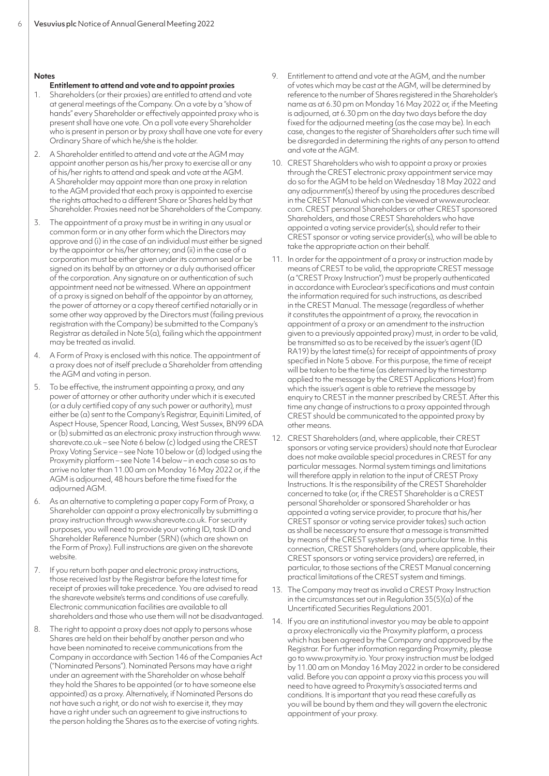#### **Notes**

# **Entitlement to attend and vote and to appoint proxies**

- 1. Shareholders (or their proxies) are entitled to attend and vote at general meetings of the Company. On a vote by a "show of hands" every Shareholder or effectively appointed proxy who is present shall have one vote. On a poll vote every Shareholder who is present in person or by proxy shall have one vote for every Ordinary Share of which he/she is the holder.
- 2. A Shareholder entitled to attend and vote at the AGM may appoint another person as his/her proxy to exercise all or any of his/her rights to attend and speak and vote at the AGM. A Shareholder may appoint more than one proxy in relation to the AGM provided that each proxy is appointed to exercise the rights attached to a different Share or Shares held by that Shareholder. Proxies need not be Shareholders of the Company.
- 3. The appointment of a proxy must be in writing in any usual or common form or in any other form which the Directors may approve and (i) in the case of an individual must either be signed by the appointor or his/her attorney; and (ii) in the case of a corporation must be either given under its common seal or be signed on its behalf by an attorney or a duly authorised officer of the corporation. Any signature on or authentication of such appointment need not be witnessed. Where an appointment of a proxy is signed on behalf of the appointor by an attorney, the power of attorney or a copy thereof certified notarially or in some other way approved by the Directors must (failing previous registration with the Company) be submitted to the Company's Registrar as detailed in Note 5(a), failing which the appointment may be treated as invalid.
- 4. A Form of Proxy is enclosed with this notice. The appointment of a proxy does not of itself preclude a Shareholder from attending the AGM and voting in person.
- To be effective, the instrument appointing a proxy, and any power of attorney or other authority under which it is executed (or a duly certified copy of any such power or authority), must either be (a) sent to the Company's Registrar, Equiniti Limited, of Aspect House, Spencer Road, Lancing, West Sussex, BN99 6DA or (b) submitted as an electronic proxy instruction through www. sharevote.co.uk – see Note 6 below (c) lodged using the CREST Proxy Voting Service – see Note 10 below or (d) lodged using the Proxymity platform – see Note 14 below – in each case so as to arrive no later than 11.00 am on Monday 16 May 2022 or, if the AGM is adjourned, 48 hours before the time fixed for the adjourned AGM.
- 6. As an alternative to completing a paper copy Form of Proxy, a Shareholder can appoint a proxy electronically by submitting a proxy instruction through www.sharevote.co.uk. For security purposes, you will need to provide your voting ID, task ID and Shareholder Reference Number (SRN) (which are shown on the Form of Proxy). Full instructions are given on the sharevote website.
- 7. If you return both paper and electronic proxy instructions, those received last by the Registrar before the latest time for receipt of proxies will take precedence. You are advised to read the sharevote website's terms and conditions of use carefully. Electronic communication facilities are available to all shareholders and those who use them will not be disadvantaged.
- 8. The right to appoint a proxy does not apply to persons whose Shares are held on their behalf by another person and who have been nominated to receive communications from the Company in accordance with Section 146 of the Companies Act ("Nominated Persons"). Nominated Persons may have a right under an agreement with the Shareholder on whose behalf they hold the Shares to be appointed (or to have someone else appointed) as a proxy. Alternatively, if Nominated Persons do not have such a right, or do not wish to exercise it, they may have a right under such an agreement to give instructions to the person holding the Shares as to the exercise of voting rights.
- 9. Entitlement to attend and vote at the AGM, and the number of votes which may be cast at the AGM, will be determined by reference to the number of Shares registered in the Shareholder's name as at 6.30 pm on Monday 16 May 2022 or, if the Meeting is adjourned, at 6.30 pm on the day two days before the day fixed for the adjourned meeting (as the case may be). In each case, changes to the register of Shareholders after such time will be disregarded in determining the rights of any person to attend and vote at the AGM.
- 10. CREST Shareholders who wish to appoint a proxy or proxies through the CREST electronic proxy appointment service may do so for the AGM to be held on Wednesday 18 May 2022 and any adjournment(s) thereof by using the procedures described in the CREST Manual which can be viewed at www.euroclear. com. CREST personal Shareholders or other CREST sponsored Shareholders, and those CREST Shareholders who have appointed a voting service provider(s), should refer to their CREST sponsor or voting service provider(s), who will be able to take the appropriate action on their behalf.
- 11. In order for the appointment of a proxy or instruction made by means of CREST to be valid, the appropriate CREST message (a "CREST Proxy Instruction") must be properly authenticated in accordance with Euroclear's specifications and must contain the information required for such instructions, as described in the CREST Manual. The message (regardless of whether it constitutes the appointment of a proxy, the revocation in appointment of a proxy or an amendment to the instruction given to a previously appointed proxy) must, in order to be valid, be transmitted so as to be received by the issuer's agent (ID RA19) by the latest time(s) for receipt of appointments of proxy specified in Note 5 above. For this purpose, the time of receipt will be taken to be the time (as determined by the timestamp applied to the message by the CREST Applications Host) from which the issuer's agent is able to retrieve the message by enquiry to CREST in the manner prescribed by CREST. After this time any change of instructions to a proxy appointed through CREST should be communicated to the appointed proxy by other means.
- 12. CREST Shareholders (and, where applicable, their CREST sponsors or voting service providers) should note that Euroclear does not make available special procedures in CREST for any particular messages. Normal system timings and limitations will therefore apply in relation to the input of CREST Proxy Instructions. It is the responsibility of the CREST Shareholder concerned to take (or, if the CREST Shareholder is a CREST personal Shareholder or sponsored Shareholder or has appointed a voting service provider, to procure that his/her CREST sponsor or voting service provider takes) such action as shall be necessary to ensure that a message is transmitted by means of the CREST system by any particular time. In this connection, CREST Shareholders (and, where applicable, their CREST sponsors or voting service providers) are referred, in particular, to those sections of the CREST Manual concerning practical limitations of the CREST system and timings.
- 13. The Company may treat as invalid a CREST Proxy Instruction in the circumstances set out in Regulation 35(5)(a) of the Uncertificated Securities Regulations 2001.
- 14. If you are an institutional investor you may be able to appoint a proxy electronically via the Proxymity platform, a process which has been agreed by the Company and approved by the Registrar. For further information regarding Proxymity, please go to www.proxymity.io. Your proxy instruction must be lodged by 11.00 am on Monday 16 May 2022 in order to be considered valid. Before you can appoint a proxy via this process you will need to have agreed to Proxymity's associated terms and conditions. It is important that you read these carefully as you will be bound by them and they will govern the electronic appointment of your proxy.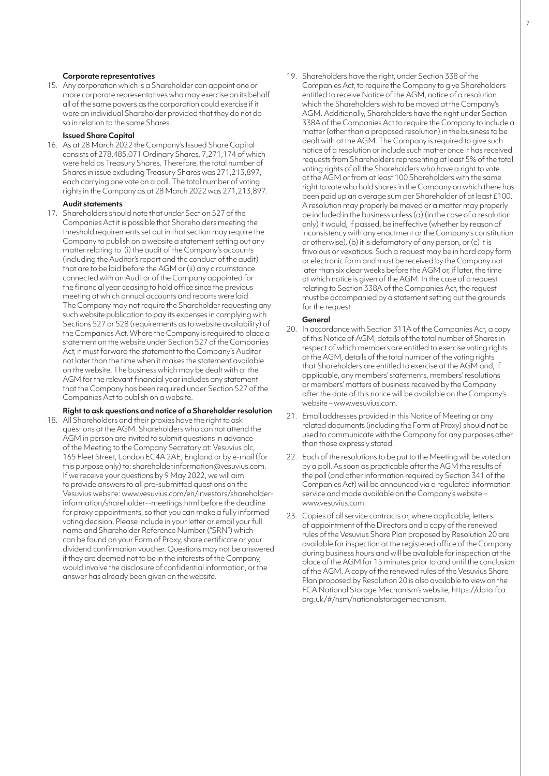#### **Corporate representatives**

15. Any corporation which is a Shareholder can appoint one or more corporate representatives who may exercise on its behalf all of the same powers as the corporation could exercise if it were an individual Shareholder provided that they do not do so in relation to the same Shares.

# **Issued Share Capital**

16. As at 28 March 2022 the Company's Issued Share Capital consists of 278,485,071 Ordinary Shares, 7,271,174 of which were held as Treasury Shares. Therefore, the total number of Shares in issue excluding Treasury Shares was 271,213,897, each carrying one vote on a poll. The total number of voting rights in the Company as at 28 March 2022 was 271,213,897.

#### **Audit statements**

17. Shareholders should note that under Section 527 of the Companies Act it is possible that Shareholders meeting the threshold requirements set out in that section may require the Company to publish on a website a statement setting out any matter relating to: (i) the audit of the Company's accounts (including the Auditor's report and the conduct of the audit) that are to be laid before the AGM or (ii) any circumstance connected with an Auditor of the Company appointed for the financial year ceasing to hold office since the previous meeting at which annual accounts and reports were laid. The Company may not require the Shareholder requesting any such website publication to pay its expenses in complying with Sections 527 or 528 (requirements as to website availability) of the Companies Act. Where the Company is required to place a statement on the website under Section 527 of the Companies Act, it must forward the statement to the Company's Auditor not later than the time when it makes the statement available on the website. The business which may be dealt with at the AGM for the relevant financial year includes any statement that the Company has been required under Section 527 of the Companies Act to publish on a website.

# **Right to ask questions and notice of a Shareholder resolution**

18. All Shareholders and their proxies have the right to ask questions at the AGM. Shareholders who can not attend the AGM in person are invited to submit questions in advance of the Meeting to the Company Secretary at: Vesuvius plc, 165 Fleet Street, London EC4A 2AE, England or by e-mail (for this purpose only) to: shareholder.information@vesuvius.com. If we receive your questions by 9 May 2022, we will aim to provide answers to all pre-submitted questions on the Vesuvius website: www.vesuvius.com/en/investors/shareholderinformation/shareholder--meetings.html before the deadline for proxy appointments, so that you can make a fully informed voting decision. Please include in your letter or email your full name and Shareholder Reference Number ("SRN") which can be found on your Form of Proxy, share certificate or your dividend confirmation voucher. Questions may not be answered if they are deemed not to be in the interests of the Company, would involve the disclosure of confidential information, or the answer has already been given on the website.

19. Shareholders have the right, under Section 338 of the Companies Act, to require the Company to give Shareholders entitled to receive Notice of the AGM, notice of a resolution which the Shareholders wish to be moved at the Company's AGM. Additionally, Shareholders have the right under Section 338A of the Companies Act to require the Company to include a matter (other than a proposed resolution) in the business to be dealt with at the AGM. The Company is required to give such notice of a resolution or include such matter once it has received requests from Shareholders representing at least 5% of the total voting rights of all the Shareholders who have a right to vote atthe AGM or from at least 100 Shareholders with the same right to vote who hold shares in the Company on which there has been paid up an average sum per Shareholder of at least £100. A resolution may properly be moved or a matter may properly be included in the business unless (a) (in the case of a resolution only) it would, if passed, be ineffective (whether by reason of inconsistency with any enactment or the Company's constitution or otherwise), (b) it is defamatory of any person, or (c) it is frivolous or vexatious. Such a request may be in hard copy form or electronic form and must be received by the Company not later than six clear weeks before the AGM or, if later, the time at which notice is given of the AGM. In the case of a request relating to Section 338A of the Companies Act, the request must be accompanied by a statement setting out the grounds for the request.

#### **General**

- 20. In accordance with Section 311A of the Companies Act, a copy of this Notice of AGM, details of the total number of Shares in respect of which members are entitled to exercise voting rights at the AGM, details of the total number of the voting rights that Shareholders are entitled to exercise at the AGM and, if applicable, any members' statements, members' resolutions or members' matters of business received by the Company after the date of this notice will be available on the Company's website – www.vesuvius.com.
- 21. Email addresses provided in this Notice of Meeting or any related documents (including the Form of Proxy) should not be used to communicate with the Company for any purposes other than those expressly stated.
- 22. Each of the resolutions to be put to the Meeting will be voted on by a poll. As soon as practicable after the AGM the results of the poll (and other information required by Section 341 of the Companies Act) will be announced via a regulated information service and made available on the Company's website – www.vesuvius.com.
- 23. Copies of all service contracts or, where applicable, letters of appointment of the Directors and a copy of the renewed rules of the Vesuvius Share Plan proposed by Resolution 20 are available for inspection at the registered office of the Company during business hours and will be available for inspection at the place of the AGM for 15 minutes prior to and until the conclusion of the AGM. A copy of the renewed rules of the Vesuvius Share Plan proposed by Resolution 20 is also available to view on the FCA National Storage Mechanism's website, https://data.fca. org.uk/#/nsm/nationalstoragemechanism.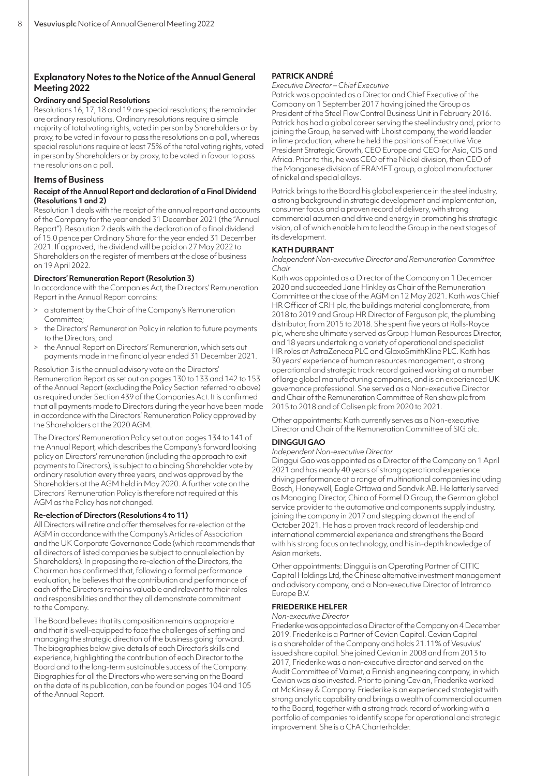# **Explanatory Notes to the Notice of the Annual General Meeting 2022**

# **Ordinary and Special Resolutions**

Resolutions 16, 17, 18 and 19 are special resolutions; the remainder are ordinary resolutions. Ordinary resolutions require a simple majority of total voting rights, voted in person by Shareholders or by proxy, to be voted in favour to pass the resolutions on a poll, whereas special resolutions require at least 75% of the total voting rights, voted in person by Shareholders or by proxy, to be voted in favour to pass the resolutions on a poll.

# **Items of Business**

# **Receipt of the Annual Report and declaration of a Final Dividend (Resolutions 1 and 2)**

Resolution 1 deals with the receipt of the annual report and accounts of the Company for the year ended 31 December 2021 (the "Annual Report"). Resolution 2 deals with the declaration of a final dividend of 15.0 pence per Ordinary Share for the year ended 31 December 2021. If approved, the dividend will be paid on 27 May 2022 to Shareholders on the register of members at the close of business on 19 April 2022.

# **Directors' Remuneration Report (Resolution 3)**

In accordance with the Companies Act, the Directors' Remuneration Report in the Annual Report contains:

- a statement by the Chair of the Company's Remuneration Committee;
- the Directors' Remuneration Policy in relation to future payments to the Directors; and
- the Annual Report on Directors' Remuneration, which sets out payments made in the financial year ended 31 December 2021.

# Resolution 3 is the annual advisory vote on the Directors'

Remuneration Report as set out on pages 130 to 133 and 142 to 153 of the Annual Report (excluding the Policy Section referred to above) as required under Section 439 of the Companies Act. It is confirmed that all payments made to Directors during the year have been made in accordance with the Directors' Remuneration Policy approved by the Shareholders at the 2020 AGM.

The Directors' Remuneration Policy set out on pages 134 to 141 of the Annual Report, which describes the Company's forward looking policy on Directors' remuneration (including the approach to exit payments to Directors), is subject to a binding Shareholder vote by ordinary resolution every three years, and was approved by the Shareholders at the AGM held in May 2020. A further vote on the Directors' Remuneration Policy is therefore not required at this AGM as the Policy has not changed.

# **Re-election of Directors (Resolutions 4 to 11)**

All Directors will retire and offer themselves for re-election at the AGM in accordance with the Company's Articles of Association and the UK Corporate Governance Code (which recommends that all directors of listed companies be subject to annual election by Shareholders). In proposing the re-election of the Directors, the Chairman has confirmed that, following a formal performance evaluation, he believes that the contribution and performance of each of the Directors remains valuable and relevant to their roles and responsibilities and that they all demonstrate commitment to the Company.

The Board believes that its composition remains appropriate and that it is well-equipped to face the challenges of setting and managing the strategic direction of the business going forward. The biographies below give details of each Director's skills and experience, highlighting the contribution of each Director to the Board and to the long-term sustainable success of the Company. Biographies for all the Directors who were serving on the Board on the date of its publication, can be found on pages 104 and 105 of the Annual Report.

# **PATRICK ANDRÉ**

# *Executive Director – Chief Executive*

Patrick was appointed as a Director and Chief Executive of the Company on 1 September 2017 having joined the Group as President of the Steel Flow Control Business Unit in February 2016. Patrick has had a global career serving the steel industry and, prior to joining the Group, he served with Lhoist company, the world leader in lime production, where he held the positions of Executive Vice President Strategic Growth, CEO Europe and CEO for Asia, CIS and Africa. Prior to this, he was CEO of the Nickel division, then CEO of the Manganese division of ERAMET group, a global manufacturer of nickel and special alloys.

Patrick brings to the Board his global experience in the steel industry, a strong background in strategic development and implementation, consumer focus and a proven record of delivery, with strong commercial acumen and drive and energy in promoting his strategic vision, all of which enable him to lead the Group in the next stages of its development.

# **KATH DURRANT**

*Independent Non-executive Director and Remuneration Committee Chair*

Kath was appointed as a Director of the Company on 1 December 2020 and succeeded Jane Hinkley as Chair of the Remuneration Committee at the close of the AGM on 12 May 2021. Kath was Chief HR Officer of CRH plc, the buildings material conglomerate, from 2018 to 2019 and Group HR Director of Ferguson plc, the plumbing distributor, from 2015 to 2018. She spent five years at Rolls-Royce plc, where she ultimately served as Group Human Resources Director, and 18 years undertaking a variety of operational and specialist HR roles at AstraZeneca PLC and GlaxoSmithKline PLC. Kath has 30 years' experience of human resources management, a strong operational and strategic track record gained working at a number of large global manufacturing companies, and is an experienced UK governance professional. She served as a Non-executive Director and Chair of the Remuneration Committee of Renishaw plc from 2015 to 2018 and of Calisen plc from 2020 to 2021.

Other appointments: Kath currently serves as a Non-executive Director and Chair of the Remuneration Committee of SIG plc.

# **DINGGUI GAO**

*Independent Non-executive Director* 

Dinggui Gao was appointed as a Director of the Company on 1 April 2021 and has nearly 40 years of strong operational experience driving performance at a range of multinational companies including Bosch, Honeywell, Eagle Ottawa and Sandvik AB. He latterly served as Managing Director, China of Formel D Group, the German global service provider to the automotive and components supply industry, joining the company in 2017 and stepping down at the end of October 2021. He has a proven track record of leadership and international commercial experience and strengthens the Board with his strong focus on technology, and his in-depth knowledge of Asian markets.

Other appointments: Dinggui is an Operating Partner of CITIC Capital Holdings Ltd, the Chinese alternative investment management and advisory company, and a Non-executive Director of Intramco Europe B.V.

# **FRIEDERIKE HELFER**

#### *Non-executive Director*

Friederike was appointed as a Director of the Company on 4 December 2019. Friederike is a Partner of Cevian Capital. Cevian Capital is a shareholder of the Company and holds 21.11% of Vesuvius' issued share capital. She joined Cevian in 2008 and from 2013 to 2017, Friederike was a non-executive director and served on the Audit Committee of Valmet, a Finnish engineering company, in which Cevian was also invested. Prior to joining Cevian, Friederike worked at McKinsey & Company. Friederike is an experienced strategist with strong analytic capability and brings a wealth of commercial acumen to the Board, together with a strong track record of working with a portfolio of companies to identify scope for operational and strategic improvement. She is a CFA Charterholder.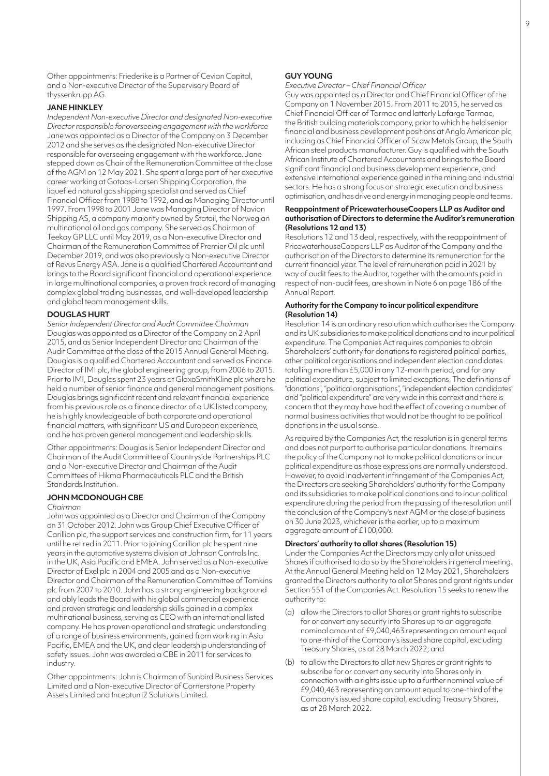Other appointments: Friederike is a Partner of Cevian Capital, and a Non-executive Director of the Supervisory Board of thyssenkrupp AG.

#### **JANE HINKLEY**

*Independent Non-executive Director and designated Non-executive Director responsible for overseeing engagement with the workforce*  Jane was appointed as a Director of the Company on 3 December 2012 and she serves as the designated Non-executive Director responsible for overseeing engagement with the workforce. Jane stepped down as Chair of the Remuneration Committee at the close of the AGM on 12 May 2021. She spent a large part of her executive career working at Gotaas-Larsen Shipping Corporation, the liquefied natural gas shipping specialist and served as Chief Financial Officer from 1988 to 1992, and as Managing Director until 1997. From 1998 to 2001 Jane was Managing Director of Navion Shipping AS, a company majority owned by Statoil, the Norwegian multinational oil and gas company. She served as Chairman of Teekay GP LLC until May 2019, as a Non-executive Director and Chairman of the Remuneration Committee of Premier Oil plc until December 2019, and was also previously a Non-executive Director of Revus Energy ASA. Jane is a qualified Chartered Accountant and brings to the Board significant financial and operational experience in large multinational companies, a proven track record of managing complex global trading businesses, and well-developed leadership and global team management skills.

# **DOUGLAS HURT**

*Senior Independent Director and Audit Committee Chairman* Douglas was appointed as a Director of the Company on 2 April 2015, and as Senior Independent Director and Chairman of the Audit Committee at the close of the 2015 Annual General Meeting. Douglas is a qualified Chartered Accountant and served as Finance Director of IMI plc, the global engineering group, from 2006 to 2015. Prior to IMI, Douglas spent 23 years at GlaxoSmithKline plc where he held a number of senior finance and general management positions. Douglas brings significant recent and relevant financial experience from his previous role as a finance director of a UK listed company, he is highly knowledgeable of both corporate and operational financial matters, with significant US and European experience, and he has proven general management and leadership skills.

Other appointments: Douglas is Senior Independent Director and Chairman of the Audit Committee of Countryside Partnerships PLC and a Non-executive Director and Chairman of the Audit Committees of Hikma Pharmaceuticals PLC and the British Standards Institution.

# **JOHN MCDONOUGH CBE**

#### *Chairman*

John was appointed as a Director and Chairman of the Company on 31 October 2012. John was Group Chief Executive Officer of Carillion plc, the support services and construction firm, for 11 years until he retired in 2011. Prior to joining Carillion plc he spent nine years in the automotive systems division at Johnson Controls Inc. in the UK, Asia Pacific and EMEA. John served as a Non-executive Director of Exel plc in 2004 and 2005 and as a Non-executive Director and Chairman of the Remuneration Committee of Tomkins plc from 2007 to 2010. John has a strong engineering background and ably leads the Board with his global commercial experience and proven strategic and leadership skills gained in a complex multinational business, serving as CEO with an international listed company. He has proven operational and strategic understanding of a range of business environments, gained from working in Asia Pacific, EMEA and the UK, and clear leadership understanding of safety issues. John was awarded a CBE in 2011 for services to industry.

Other appointments: John is Chairman of Sunbird Business Services Limited and a Non-executive Director of Cornerstone Property Assets Limited and Inceptum2 Solutions Limited.

#### **GUY YOUNG**

*Executive Director – Chief Financial Officer*

Guy was appointed as a Director and Chief Financial Officer of the Company on 1 November 2015. From 2011 to 2015, he served as Chief Financial Officer of Tarmac and latterly Lafarge Tarmac, the British building materials company, prior to which he held senior financial and business development positions at Anglo American plc, including as Chief Financial Officer of Scaw Metals Group, the South African steel products manufacturer. Guy is qualified with the South African Institute of Chartered Accountants and brings to the Board significant financial and business development experience, and extensive international experience gained in the mining and industrial sectors. He has a strong focus on strategic execution and business optimisation, and has drive and energy in managing people and teams.

#### **Reappointment of PricewaterhouseCoopers LLP as Auditor and authorisation of Directors to determine the Auditor's remuneration (Resolutions 12 and 13)**

Resolutions 12 and 13 deal, respectively, with the reappointment of PricewaterhouseCoopers LLP as Auditor of the Company and the authorisation of the Directors to determine its remuneration for the current financial year. The level of remuneration paid in 2021 by way of audit fees to the Auditor, together with the amounts paid in respect of non-audit fees, are shown in Note 6 on page 186 of the Annual Report.

#### **Authority for the Company to incur political expenditure (Resolution 14)**

Resolution 14 is an ordinary resolution which authorises the Company and its UK subsidiaries to make political donations and to incur political expenditure. The Companies Act requires companies to obtain Shareholders' authority for donations to registered political parties, other political organisations and independent election candidates totalling more than £5,000 in any 12-month period, and for any political expenditure, subject to limited exceptions. The definitions of "donations", "political organisations", "independent election candidates" and "political expenditure" are very wide in this context and there is concern that they may have had the effect of covering a number of normal business activities that would not be thought to be political donations in the usual sense.

As required by the Companies Act, the resolution is in general terms and does not purport to authorise particular donations. It remains the policy of the Company not to make political donations or incur political expenditure as those expressions are normally understood. However, to avoid inadvertent infringement of the Companies Act, the Directors are seeking Shareholders' authority for the Company and its subsidiaries to make political donations and to incur political expenditure during the period from the passing of the resolution until the conclusion of the Company's next AGM or the close of business on 30 June 2023, whichever is the earlier, up to a maximum aggregate amount of £100,000.

# **Directors' authority to allot shares (Resolution 15)**

Under the Companies Act the Directors may only allot unissued Shares if authorised to do so by the Shareholders in general meeting. Atthe Annual General Meeting held on 12 May 2021, Shareholders granted the Directors authority to allot Shares and grant rights under Section 551 of the Companies Act. Resolution 15 seeks to renew the authority to:

- (a) allow the Directors to allot Shares or grant rights to subscribe for or convert any security into Shares up to an aggregate nominal amount of £9,040,463 representing an amount equal to one-third of the Company's issued share capital, excluding Treasury Shares, as at 28March 2022; and
- (b) to allow the Directors to allot new Shares or grant rights to subscribe for or convert any security into Shares only in connection with a rights issue up to a further nominal value of £9,040,463 representing an amount equal to one-third of the Company's issued share capital, excluding Treasury Shares, as at 28 March 2022.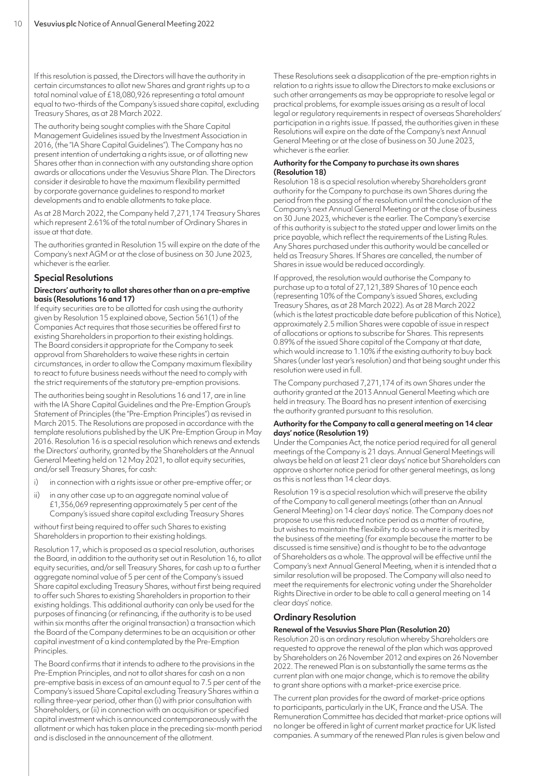If this resolution is passed, the Directors will have the authority in certain circumstances to allot new Shares and grant rights up to a total nominal value of £18,080,926 representing a total amount equal to two-thirds of the Company's issued share capital, excluding Treasury Shares, as at 28 March 2022.

The authority being sought complies with the Share Capital Management Guidelines issued by the Investment Association in 2016, (the "IA Share Capital Guidelines"). The Company has no present intention of undertaking a rights issue, or of allotting new Shares other than in connection with any outstanding share option awards or allocations under the Vesuvius Share Plan. The Directors consider it desirable to have the maximum flexibility permitted by corporate governance guidelines to respond to market developments and to enable allotments to take place.

As at 28 March 2022, the Company held 7,271,174 Treasury Shares which represent 2.61% of the total number of Ordinary Shares in issue at that date.

The authorities granted in Resolution 15 will expire on the date of the Company's next AGM or at the close of business on 30 June 2023, whichever is the earlier.

# **Special Resolutions**

# **Directors' authority to allot shares other than on a pre-emptive basis (Resolutions 16 and 17)**

If equity securities are to be allotted for cash using the authority given by Resolution 15 explained above, Section 561(1) of the Companies Act requires that those securities be offered first to existing Shareholders in proportion to their existing holdings. The Board considers it appropriate for the Company to seek approval from Shareholders to waive these rights in certain circumstances, in order to allow the Company maximum flexibility to react to future business needs without the need to comply with the strict requirements of the statutory pre-emption provisions.

The authorities being sought in Resolutions 16 and 17, are in line with the IA Share Capital Guidelines and the Pre-Emption Group's Statement of Principles (the "Pre-Emption Principles") as revised in March 2015. The Resolutions are proposed in accordance with the template resolutions published by the UK Pre-Emption Group in May 2016. Resolution 16 is a special resolution which renews and extends the Directors' authority, granted by the Shareholders at the Annual General Meeting held on 12 May 2021, to allot equity securities, and/or sell Treasury Shares, for cash:

- i) in connection with a rights issue or other pre-emptive offer; or
- ii) in any other case up to an aggregate nominal value of £1,356,069 representing approximately 5 per cent of the Company's issued share capital excluding Treasury Shares

without first being required to offer such Shares to existing Shareholders in proportion to their existing holdings.

Resolution 17, which is proposed as a special resolution, authorises the Board, in addition to the authority set out in Resolution 16, to allot equity securities, and/or sell Treasury Shares, for cash up to a further aggregate nominal value of 5 per cent of the Company's issued Share capital excluding Treasury Shares, without first being required to offer such Shares to existing Shareholders in proportion to their existing holdings. This additional authority can only be used for the purposes of financing (or refinancing, if the authority is to be used within six months after the original transaction) a transaction which the Board of the Company determines to be an acquisition or other capital investment of a kind contemplated by the Pre-Emption Principles.

The Board confirms that it intends to adhere to the provisions in the Pre-Emption Principles, and not to allot shares for cash on a non pre-emptive basis in excess of an amount equal to 7.5 per cent of the Company's issued Share Capital excluding Treasury Shares within a rolling three-year period, other than (i) with prior consultation with Shareholders, or (ii) in connection with an acquisition or specified capital investment which is announced contemporaneously with the allotment or which has taken place in the preceding six-month period and is disclosed in the announcement of the allotment.

These Resolutions seek a disapplication of the pre-emption rights in relation to a rights issue to allow the Directors to make exclusions or such other arrangements as may be appropriate to resolve legal or practical problems, for example issues arising as a result of local legal or regulatory requirements in respect of overseas Shareholders' participation in a rights issue. If passed, the authorities given in these Resolutions will expire on the date of the Company's next Annual General Meeting or at the close of business on 30 June 2023, whichever is the earlier.

# **Authority for the Company to purchase its own shares (Resolution 18)**

Resolution 18 is a special resolution whereby Shareholders grant authority for the Company to purchase its own Shares during the period from the passing of the resolution until the conclusion of the Company's next Annual General Meeting or at the close of business on 30 June 2023, whichever is the earlier. The Company's exercise of this authority is subject to the stated upper and lower limits on the price payable, which reflect the requirements of the Listing Rules. Any Shares purchased under this authority would be cancelled or held as Treasury Shares. If Shares are cancelled, the number of Shares in issue would be reduced accordingly.

If approved, the resolution would authorise the Company to purchase up to a total of 27,121,389 Shares of 10 pence each (representing 10% of the Company's issued Shares, excluding Treasury Shares, as at 28 March 2022). As at 28 March 2022 (which is the latest practicable date before publication of this Notice), approximately 2.5 million Shares were capable of issue in respect of allocations or options to subscribe for Shares. This represents 0.89% of the issued Share capital of the Company at that date, which would increase to 1.10% if the existing authority to buy back Shares (under last year's resolution) and that being sought under this resolution were used in full.

The Company purchased 7,271,174 of its own Shares under the authority granted at the 2013 Annual General Meeting which are held in treasury. The Board has no present intention of exercising the authority granted pursuant to this resolution.

# **Authority for the Company to call a general meeting on 14 clear days' notice (Resolution 19)**

Under the Companies Act, the notice period required for all general meetings of the Company is 21 days. Annual General Meetings will always be held on at least 21 clear days' notice but Shareholders can approve a shorter notice period for other general meetings, as long as this is not less than 14 clear days.

Resolution 19 is a special resolution which will preserve the ability of the Company to call general meetings (other than an Annual General Meeting) on 14 clear days' notice. The Company does not propose to use this reduced notice period as a matter of routine, but wishes to maintain the flexibility to do so where it is merited by the business of the meeting (for example because the matter to be discussed is time sensitive) and is thought to be to the advantage of Shareholders as a whole. The approval will be effective until the Company's next Annual General Meeting, when it is intended that a similar resolution will be proposed. The Company will also need to meet the requirements for electronic voting under the Shareholder Rights Directive in order to be able to call a general meeting on 14 clear days' notice.

# **Ordinary Resolution**

# **Renewal of the Vesuvius Share Plan (Resolution 20)**

Resolution 20 is an ordinary resolution whereby Shareholders are requested to approve the renewal of the plan which was approved by Shareholders on 26 November 2012 and expires on 26 November 2022. The renewed Plan is on substantially the same terms as the current plan with one major change, which is to remove the ability to grant share options with a market-price exercise price.

The current plan provides for the award of market-price options to participants, particularly in the UK, France and the USA. The Remuneration Committee has decided that market-price options will no longer be offered in light of current market practice for UK listed companies. A summary of the renewed Plan rules is given below and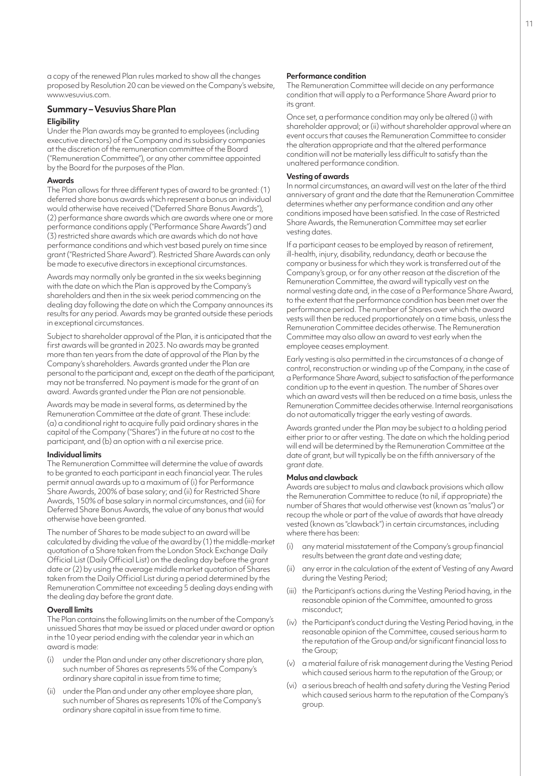a copy of the renewed Plan rules marked to show all the changes proposed by Resolution 20 can be viewed on the Company's website, www.vesuvius.com.

# **Summary – Vesuvius Share Plan Eligibility**

Under the Plan awards may be granted to employees (including executive directors) of the Company and its subsidiary companies at the discretion of the remuneration committee of the Board ("Remuneration Committee"), or any other committee appointed by the Board for the purposes of the Plan.

# **Awards**

The Plan allows for three different types of award to be granted: (1) deferred share bonus awards which represent a bonus an individual would otherwise have received ("Deferred Share Bonus Awards"), (2) performance share awards which are awards where one or more performance conditions apply ("Performance Share Awards") and (3) restricted share awards which are awards which do not have performance conditions and which vest based purely on time since grant ("Restricted Share Award"). Restricted Share Awards can only be made to executive directors in exceptional circumstances.

Awards may normally only be granted in the six weeks beginning with the date on which the Plan is approved by the Company's shareholders and then in the six week period commencing on the dealing day following the date on which the Company announces its results for any period. Awards may be granted outside these periods in exceptional circumstances.

Subject to shareholder approval of the Plan, it is anticipated that the first awards will be granted in 2023. No awards may be granted more than ten years from the date of approval of the Plan by the Company's shareholders. Awards granted under the Plan are personal to the participant and, except on the death of the participant, may not be transferred. No payment is made for the grant of an award. Awards granted under the Plan are not pensionable.

Awards may be made in several forms, as determined by the Remuneration Committee at the date of grant. These include: (a) a conditional right to acquire fully paid ordinary shares in the capital of the Company ("Shares") in the future at no cost to the participant, and (b) an option with a nil exercise price.

#### **Individual limits**

The Remuneration Committee will determine the value of awards to be granted to each participant in each financial year. The rules permit annual awards up to a maximum of (i) for Performance Share Awards, 200% of base salary; and (ii) for Restricted Share Awards, 150% of base salary in normal circumstances, and (iii) for Deferred Share Bonus Awards, the value of any bonus that would otherwise have been granted.

The number of Shares to be made subject to an award will be calculated by dividing the value of the award by (1) the middle-market quotation of a Share taken from the London Stock Exchange Daily Official List (Daily Official List) on the dealing day before the grant date or (2) by using the average middle market quotation of Shares taken from the Daily Official List during a period determined by the Remuneration Committee not exceeding 5 dealing days ending with the dealing day before the grant date.

#### **Overall limits**

The Plan contains the following limits on the number of the Company's unissued Shares that may be issued or placed under award or option in the 10 year period ending with the calendar year in which an award is made:

- under the Plan and under any other discretionary share plan, such number of Shares as represents 5% of the Company's ordinary share capital in issue from time to time;
- (ii) under the Plan and under any other employee share plan, such number of Shares as represents 10% of the Company's ordinary share capital in issue from time to time.

#### **Performance condition**

The Remuneration Committee will decide on any performance condition that will apply to a Performance Share Award prior to its grant.

Once set, a performance condition may only be altered (i) with shareholder approval; or (ii) without shareholder approval where an event occurs that causes the Remuneration Committee to consider the alteration appropriate and that the altered performance condition will not be materially less difficult to satisfy than the unaltered performance condition.

# **Vesting of awards**

In normal circumstances, an award will vest on the later of the third anniversary of grant and the date that the Remuneration Committee determines whether any performance condition and any other conditions imposed have been satisfied. In the case of Restricted Share Awards, the Remuneration Committee may set earlier vesting dates.

If a participant ceases to be employed by reason of retirement, ill-health, injury, disability, redundancy, death or because the company or business for which they work is transferred out of the Company's group, or for any other reason at the discretion of the Remuneration Committee, the award will typically vest on the normal vesting date and, in the case of a Performance Share Award, to the extent that the performance condition has been met over the performance period. The number of Shares over which the award vests will then be reduced proportionately on a time basis, unless the Remuneration Committee decides otherwise. The Remuneration Committee may also allow an award to vest early when the employee ceases employment.

Early vesting is also permitted in the circumstances of a change of control, reconstruction or winding up of the Company, in the case of a Performance Share Award, subject to satisfaction of the performance condition up to the event in question. The number of Shares over which an award vests will then be reduced on a time basis, unless the Remuneration Committee decides otherwise. Internal reorganisations do not automatically trigger the early vesting of awards.

Awards granted under the Plan may be subject to a holding period either prior to or after vesting. The date on which the holding period will end will be determined by the Remuneration Committee at the date of grant, but will typically be on the fifth anniversary of the grant date.

#### **Malus and clawback**

Awards are subject to malus and clawback provisions which allow the Remuneration Committee to reduce (to nil, if appropriate) the number of Shares that would otherwise vest (known as "malus") or recoup the whole or part of the value of awards that have already vested (known as "clawback") in certain circumstances, including where there has been:

- (i) any material misstatement of the Company's group financial results between the grant date and vesting date;
- any error in the calculation of the extent of Vesting of any Award during the Vesting Period;
- (iii) the Participant's actions during the Vesting Period having, in the reasonable opinion of the Committee, amounted to gross misconduct;
- (iv) the Participant's conduct during the Vesting Period having, in the reasonable opinion of the Committee, caused serious harm to the reputation of the Group and/or significant financial loss to the Group;
- (v) a material failure of risk management during the Vesting Period which caused serious harm to the reputation of the Group; or
- (vi) a serious breach of health and safety during the Vesting Period which caused serious harm to the reputation of the Company's group.